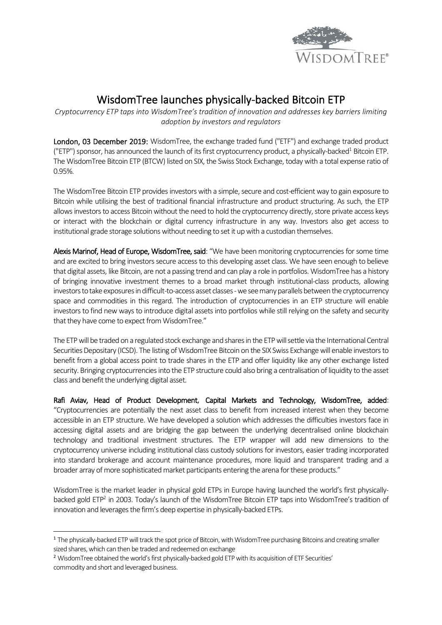

## WisdomTree launches physically-backed Bitcoin ETP

*Cryptocurrency ETP taps into WisdomTree's tradition of innovation and addresses key barriers limiting adoption by investors and regulators*

London, 03 December 2019: WisdomTree, the exchange traded fund ("ETF") and exchange traded product ("ETP") sponsor, has announced the launch of its first cryptocurrency product, a physically-backed<sup>1</sup> Bitcoin ETP. The WisdomTree Bitcoin ETP (BTCW) listed on SIX, the Swiss Stock Exchange, todaywith a total expense ratio of 0.95%.

The WisdomTree Bitcoin ETP provides investors with a simple, secure and cost-efficient way to gain exposure to Bitcoin while utilising the best of traditional financial infrastructure and product structuring. As such, the ETP allows investors to access Bitcoin without the need to hold the cryptocurrency directly, store private access keys or interact with the blockchain or digital currency infrastructure in any way. Investors also get access to institutional grade storage solutions without needing to set it up with a custodian themselves.

Alexis Marinof, Head of Europe, WisdomTree, said: "We have been monitoring cryptocurrencies for some time and are excited to bring investors secure access to this developing asset class. We have seen enough to believe that digital assets, like Bitcoin, are not a passing trend and can play a role in portfolios. WisdomTree has a history of bringing innovative investment themes to a broad market through institutional-class products, allowing investors to take exposures in difficult-to-access asset classes -we see many parallels between the cryptocurrency space and commodities in this regard. The introduction of cryptocurrencies in an ETP structure will enable investors to find new ways to introduce digital assets into portfolios while still relying on the safety and security that they have come to expect from WisdomTree."

The ETP will be traded on a regulated stock exchange and shares in the ETP will settle via the International Central Securities Depositary (ICSD). The listing of WisdomTree Bitcoin on the SIX Swiss Exchange will enable investors to benefit from a global access point to trade shares in the ETP and offer liquidity like any other exchange listed security. Bringing cryptocurrencies into the ETP structure could also bring a centralisation of liquidity to the asset class and benefit the underlying digital asset.

Rafi Aviav, Head of Product Development, Capital Markets and Technology, WisdomTree, added: "Cryptocurrencies are potentially the next asset class to benefit from increased interest when they become accessible in an ETP structure. We have developed a solution which addresses the difficulties investors face in accessing digital assets and are bridging the gap between the underlying decentralised online blockchain technology and traditional investment structures. The ETP wrapper will add new dimensions to the cryptocurrency universe including institutional class custody solutions for investors, easier trading incorporated into standard brokerage and account maintenance procedures, more liquid and transparent trading and a broader array of more sophisticated market participants entering the arena for these products."

WisdomTree is the market leader in physical gold ETPs in Europe having launched the world's first physicallybacked gold ETP<sup>2</sup> in 2003. Today's launch of the WisdomTree Bitcoin ETP taps into WisdomTree's tradition of innovation and leverages the firm's deep expertise in physically-backed ETPs.

<sup>&</sup>lt;sup>1</sup> The physically-backed ETP will track the spot price of Bitcoin, with WisdomTree purchasing Bitcoins and creating smaller sized shares, which can then be traded and redeemed on exchange

<sup>2</sup> WisdomTree obtained the world's first physically-backed gold ETP with its acquisition of ETF Securities' commodity and short and leveraged business.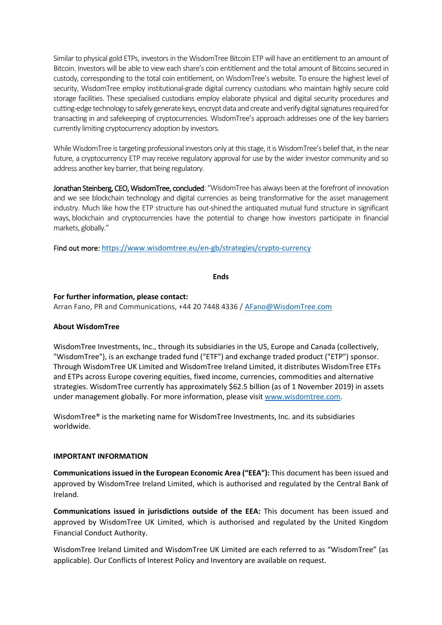Similar to physical gold ETPs, investors in the WisdomTree Bitcoin ETP will have an entitlement to an amount of Bitcoin. Investors will be able to view each share's coin entitlement and the total amount of Bitcoins secured in custody, corresponding to the total coin entitlement, on WisdomTree's website. To ensure the highest level of security, WisdomTree employ institutional-grade digital currency custodians who maintain highly secure cold storage facilities. These specialised custodians employ elaborate physical and digital security procedures and cutting-edge technology to safely generate keys, encrypt data and create and verify digital signatures required for transacting in and safekeeping of cryptocurrencies. WisdomTree's approach addresses one of the key barriers currently limiting cryptocurrency adoption by investors.

While WisdomTree is targeting professional investors only at this stage, it is WisdomTree's beliefthat, in the near future, a cryptocurrency ETP may receive regulatory approval for use by the wider investor community and so address another key barrier, that being regulatory.

Jonathan Steinberg, CEO, WisdomTree, concluded: "WisdomTree has always been at the forefront of innovation and we see blockchain technology and digital currencies as being transformative for the asset management industry. Much like howthe ETP structure has out-shined the antiquated mutual fund structure in significant ways, blockchain and cryptocurrencies have the potential to change how investors participate in financial markets, globally."

Find out more: <https://www.wisdomtree.eu/en-gb/strategies/crypto-currency>

## **Ends**

**For further information, please contact:** Arran Fano, PR and Communications, +44 20 7448 4336 / [AFano@WisdomTree.com](mailto:/AFano@WisdomTree.com)

## **About WisdomTree**

WisdomTree Investments, Inc., through its subsidiaries in the US, Europe and Canada (collectively, "WisdomTree"), is an exchange traded fund ("ETF") and exchange traded product ("ETP") sponsor. Through WisdomTree UK Limited and WisdomTree Ireland Limited, it distributes WisdomTree ETFs and ETPs across Europe covering equities, fixed income, currencies, commodities and alternative strategies. WisdomTree currently has approximately \$62.5 billion (as of 1 November 2019) in assets under management globally. For more information, please visi[t www.wisdomtree.com.](http://www.wisdomtree.com/)

WisdomTree® is the marketing name for WisdomTree Investments, Inc. and its subsidiaries worldwide.

## **IMPORTANT INFORMATION**

**Communications issued in the European Economic Area ("EEA"):** This document has been issued and approved by WisdomTree Ireland Limited, which is authorised and regulated by the Central Bank of Ireland.

**Communications issued in jurisdictions outside of the EEA:** This document has been issued and approved by WisdomTree UK Limited, which is authorised and regulated by the United Kingdom Financial Conduct Authority.

WisdomTree Ireland Limited and WisdomTree UK Limited are each referred to as "WisdomTree" (as applicable). Our Conflicts of Interest Policy and Inventory are available on request.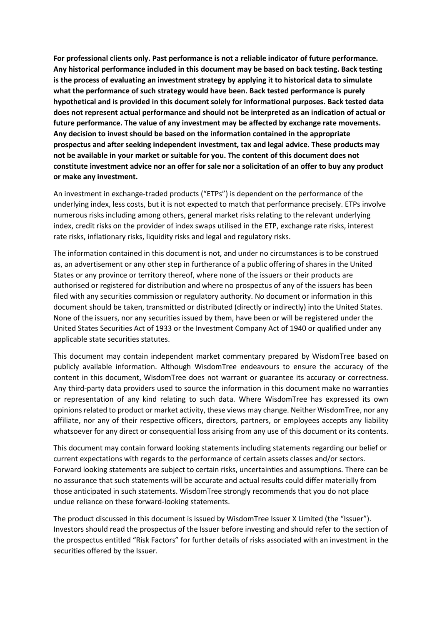**For professional clients only. Past performance is not a reliable indicator of future performance. Any historical performance included in this document may be based on back testing. Back testing is the process of evaluating an investment strategy by applying it to historical data to simulate what the performance of such strategy would have been. Back tested performance is purely hypothetical and is provided in this document solely for informational purposes. Back tested data does not represent actual performance and should not be interpreted as an indication of actual or future performance. The value of any investment may be affected by exchange rate movements. Any decision to invest should be based on the information contained in the appropriate prospectus and after seeking independent investment, tax and legal advice. These products may not be available in your market or suitable for you. The content of this document does not constitute investment advice nor an offer for sale nor a solicitation of an offer to buy any product or make any investment.** 

An investment in exchange-traded products ("ETPs") is dependent on the performance of the underlying index, less costs, but it is not expected to match that performance precisely. ETPs involve numerous risks including among others, general market risks relating to the relevant underlying index, credit risks on the provider of index swaps utilised in the ETP, exchange rate risks, interest rate risks, inflationary risks, liquidity risks and legal and regulatory risks.

The information contained in this document is not, and under no circumstances is to be construed as, an advertisement or any other step in furtherance of a public offering of shares in the United States or any province or territory thereof, where none of the issuers or their products are authorised or registered for distribution and where no prospectus of any of the issuers has been filed with any securities commission or regulatory authority. No document or information in this document should be taken, transmitted or distributed (directly or indirectly) into the United States. None of the issuers, nor any securities issued by them, have been or will be registered under the United States Securities Act of 1933 or the Investment Company Act of 1940 or qualified under any applicable state securities statutes.

This document may contain independent market commentary prepared by WisdomTree based on publicly available information. Although WisdomTree endeavours to ensure the accuracy of the content in this document, WisdomTree does not warrant or guarantee its accuracy or correctness. Any third-party data providers used to source the information in this document make no warranties or representation of any kind relating to such data. Where WisdomTree has expressed its own opinions related to product or market activity, these views may change. Neither WisdomTree, nor any affiliate, nor any of their respective officers, directors, partners, or employees accepts any liability whatsoever for any direct or consequential loss arising from any use of this document or its contents.

This document may contain forward looking statements including statements regarding our belief or current expectations with regards to the performance of certain assets classes and/or sectors. Forward looking statements are subject to certain risks, uncertainties and assumptions. There can be no assurance that such statements will be accurate and actual results could differ materially from those anticipated in such statements. WisdomTree strongly recommends that you do not place undue reliance on these forward-looking statements.

The product discussed in this document is issued by WisdomTree Issuer X Limited (the "Issuer"). Investors should read the prospectus of the Issuer before investing and should refer to the section of the prospectus entitled "Risk Factors" for further details of risks associated with an investment in the securities offered by the Issuer.